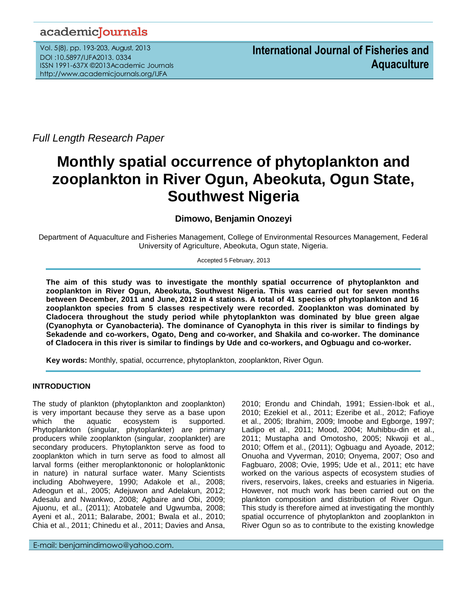## academicJournals

Vol. 5(8), pp. 193-203, August, 2013 DOI :10.5897/IJFA2013. 0334 ISSN 1991-637X ©2013Academic Journals http://www.academicjournals.org/IJFA

*Full Length Research Paper*

# **Monthly spatial occurrence of phytoplankton and zooplankton in River Ogun, Abeokuta, Ogun State, Southwest Nigeria**

## **Dimowo, Benjamin Onozeyi**

Department of Aquaculture and Fisheries Management, College of Environmental Resources Management, Federal University of Agriculture, Abeokuta, Ogun state, Nigeria.

#### Accepted 5 February, 2013

**The aim of this study was to investigate the monthly spatial occurrence of phytoplankton and zooplankton in River Ogun, Abeokuta, Southwest Nigeria. This was carried out for seven months between December, 2011 and June, 2012 in 4 stations. A total of 41 species of phytoplankton and 16 zooplankton species from 5 classes respectively were recorded. Zooplankton was dominated by Cladocera throughout the study period while phytoplankton was dominated by blue green algae (Cyanophyta or Cyanobacteria). The dominance of Cyanophyta in this river is similar to findings by Sekadende and co-workers, Ogato, Deng and co-worker, and Shakila and co-worker. The dominance of Cladocera in this river is similar to findings by Ude and co-workers, and Ogbuagu and co-worker.**

**Key words:** Monthly, spatial, occurrence, phytoplankton, zooplankton, River Ogun.

### **INTRODUCTION**

The study of plankton (phytoplankton and zooplankton) is very important because they serve as a base upon which the aquatic ecosystem is supported. Phytoplankton (singular, phytoplankter) are primary producers while zooplankton (singular, zooplankter) are secondary producers. Phytoplankton serve as food to zooplankton which in turn serve as food to almost all larval forms (either meroplanktononic or holoplanktonic in nature) in natural surface water. Many Scientists including Abohweyere, 1990; Adakole et al., 2008; Adeogun et al., 2005; Adejuwon and Adelakun, 2012; Adesalu and Nwankwo, 2008; Agbaire and Obi, 2009; Ajuonu, et al., (2011); Atobatele and Ugwumba, 2008; Ayeni et al., 2011; Balarabe, 2001; Bwala et al., 2010; Chia et al., 2011; Chinedu et al., 2011; Davies and Ansa,

E-mail: benjamindimowo@yahoo.com.

2010; Erondu and Chindah, 1991; Essien-Ibok et al., 2010; Ezekiel et al., 2011; Ezeribe et al., 2012; Fafioye et al., 2005; Ibrahim, 2009; Imoobe and Egborge, 1997; Ladipo et al., 2011; Mood, 2004; Muhibbu-din et al., 2011; Mustapha and Omotosho, 2005; Nkwoji et al., 2010; Offem et al., (2011); Ogbuagu and Ayoade, 2012; Onuoha and Vyverman, 2010; Onyema, 2007; Oso and Fagbuaro, 2008; Ovie, 1995; Ude et al., 2011; etc have worked on the various aspects of ecosystem studies of rivers, reservoirs, lakes, creeks and estuaries in Nigeria. However, not much work has been carried out on the plankton composition and distribution of River Ogun. This study is therefore aimed at investigating the monthly spatial occurrence of phytoplankton and zooplankton in River Ogun so as to contribute to the existing knowledge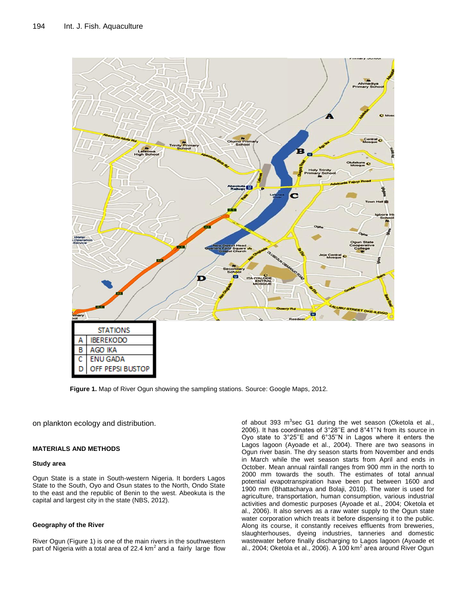

**Figure 1.** Map of River Ogun showing the sampling stations. Source: Google Maps, 2012.

on plankton ecology and distribution.

#### **MATERIALS AND METHODS**

#### **Study area**

Ogun State is a state in South-western Nigeria. It borders Lagos State to the South, Oyo and Osun states to the North, Ondo State to the east and the republic of Benin to the west. Abeokuta is the capital and largest city in the state (NBS, 2012).

#### **Geography of the River**

River Ogun (Figure 1) is one of the main rivers in the southwestern part of Nigeria with a total area of 22.4  $km^2$  and a fairly large flow

of about 393 m<sup>3</sup>sec G1 during the wet season (Oketola et al., 2006). It has coordinates of 3°28''E and 8°41''N from its source in Oyo state to 3°25''E and 6°35''N in Lagos where it enters the Lagos lagoon (Ayoade et al., 2004). There are two seasons in Ogun river basin. The dry season starts from November and ends in March while the wet season starts from April and ends in October. Mean annual rainfall ranges from 900 mm in the north to 2000 mm towards the south. The estimates of total annual potential evapotranspiration have been put between 1600 and 1900 mm (Bhattacharya and Bolaji, 2010). The water is used for agriculture, transportation, human consumption, various industrial activities and domestic purposes (Ayoade et al., 2004; Oketola et al., 2006). It also serves as a raw water supply to the Ogun state water corporation which treats it before dispensing it to the public. Along its course, it constantly receives effluents from breweries, slaughterhouses, dyeing industries, tanneries and domestic wastewater before finally discharging to Lagos lagoon (Ayoade et al., 2004; Oketola et al., 2006). A 100 km<sup>2</sup> area around River Ogun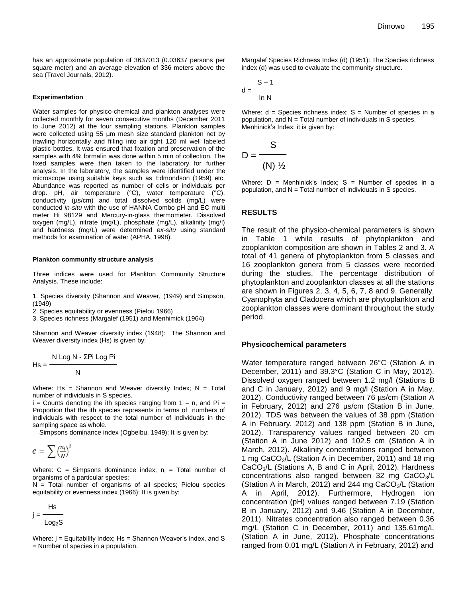has an approximate population of 3637013 (0.03637 persons per square meter) and an average elevation of 336 meters above the sea (Travel Journals, 2012).

#### **Experimentation**

Water samples for physico-chemical and plankton analyses were collected monthly for seven consecutive months (December 2011 to June 2012) at the four sampling stations. Plankton samples were collected using 55 µm mesh size standard plankton net by trawling horizontally and filling into air tight 120 ml well labeled plastic bottles. It was ensured that fixation and preservation of the samples with 4% formalin was done within 5 min of collection. The fixed samples were then taken to the laboratory for further analysis. In the laboratory, the samples were identified under the microscope using suitable keys such as Edmondson (1959) etc. Abundance was reported as number of cells or individuals per drop. pH, air temperature (°C), water temperature (°C), conductivity (µs/cm) and total dissolved solids (mg/L) were conducted *in-situ* with the use of HANNA Combo pH and EC multi meter Hi 98129 and Mercury-in-glass thermometer. Dissolved oxygen (mg/L), nitrate (mg/L), phosphate (mg/L), alkalinity (mg/l) and hardness (mg/L) were determined *ex-situ* using standard methods for examination of water (APHA, 1998).

#### **Plankton community structure analysis**

Three indices were used for Plankton Community Structure Analysis. These include:

1. Species diversity (Shannon and Weaver, (1949) and Simpson, (1949)

2. Species equitability or evenness (Pielou 1966)

3. Species richness (Margalef (1951) and Menhimick (1964)

Shannon and Weaver diversity index (1948): The Shannon and Weaver diversity index (Hs) is given by:

$$
Hs = \frac{N \log N - \sum Pi \text{ Log Pi}}{N}
$$

Where: Hs = Shannon and Weaver diversity Index;  $N = Total$ number of individuals in S species.

 $i =$  Counts denoting the ith species ranging from  $1 - n$ , and Pi = Proportion that the ith species represents in terms of numbers of individuals with respect to the total number of individuals in the sampling space as whole.

Simpsons dominance index (Ogbeibu, 1949): It is given by:

$$
C = \sum \left(\frac{n_i}{N}\right)^2
$$

Where:  $C =$  Simpsons dominance index;  $n_i =$  Total number of organisms of a particular species;

N = Total number of organisms of all species; Pielou species equitability or evenness index (1966): It is given by:

$$
j = \frac{Hs}{Log_2S}
$$

Where:  $i =$  Equitability index; Hs = Shannon Weaver's index, and S = Number of species in a population.

Margalef Species Richness Index (d) (1951): The Species richness index (d) was used to evaluate the community structure.

$$
d = \frac{S-1}{\ln N}
$$

Where: d = Species richness index; S = Number of species in a population, and  $N = Total$  number of individuals in S species. Menhinick's Index: it is given by:

$$
D = \frac{S}{(N) \frac{1}{2}}
$$

Where:  $D =$  Menhinick's Index;  $S =$  Number of species in a population, and  $N = Total$  number of individuals in S species.

#### **RESULTS**

The result of the physico-chemical parameters is shown in Table 1 while results of phytoplankton and zooplankton composition are shown in Tables 2 and 3. A total of 41 genera of phytoplankton from 5 classes and 16 zooplankton genera from 5 classes were recorded during the studies. The percentage distribution of phytoplankton and zooplankton classes at all the stations are shown in Figures 2, 3, 4, 5, 6, 7, 8 and 9. Generally, Cyanophyta and Cladocera which are phytoplankton and zooplankton classes were dominant throughout the study period.

#### **Physicochemical parameters**

Water temperature ranged between 26°C (Station A in December, 2011) and 39.3°C (Station C in May, 2012). Dissolved oxygen ranged between 1.2 mg/l (Stations B and C in January, 2012) and 9 mg/l (Station A in May, 2012). Conductivity ranged between 76 µs/cm (Station A in February, 2012) and 276 µs/cm (Station B in June, 2012). TDS was between the values of 38 ppm (Station A in February, 2012) and 138 ppm (Station B in June, 2012). Transparency values ranged between 20 cm (Station A in June 2012) and 102.5 cm (Station A in March, 2012). Alkalinity concentrations ranged between 1 mg CaCO<sub>3</sub>/L (Station A in December, 2011) and 18 mg  $CaCO<sub>3</sub>/L$  (Stations A, B and C in April, 2012). Hardness concentrations also ranged between 32 mg  $CaCO<sub>3</sub>/L$ (Station A in March, 2012) and 244 mg  $CaCO<sub>3</sub>/L$  (Station A in April, 2012). Furthermore, Hydrogen ion concentration (pH) values ranged between 7.19 (Station B in January, 2012) and 9.46 (Station A in December, 2011). Nitrates concentration also ranged between 0.36 mg/L (Station C in December, 2011) and 135.61mg/L (Station A in June, 2012). Phosphate concentrations ranged from 0.01 mg/L (Station A in February, 2012) and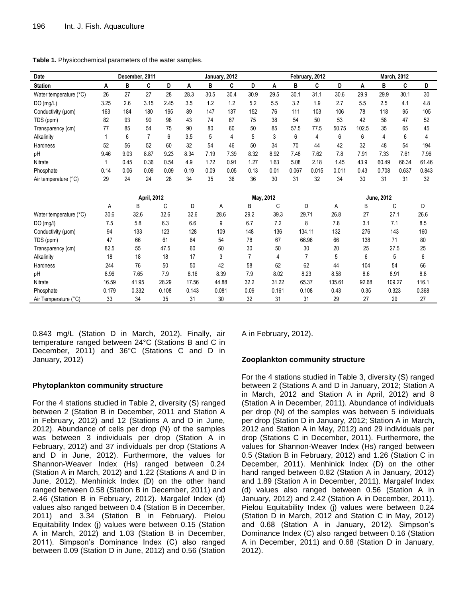| Date                   |       | December, 2011 |                    |       |       |       | January, 2012 |                |           |       | February, 2012 |        |       |            | <b>March, 2012</b> |       |
|------------------------|-------|----------------|--------------------|-------|-------|-------|---------------|----------------|-----------|-------|----------------|--------|-------|------------|--------------------|-------|
| <b>Station</b>         | A     | B              | C                  | D     | A     | В     | C             | D              | Α         | B     | C              | D      | Α     | в          | C                  | D     |
| Water temperature (°C) | 26    | 27             | 27                 | 28    | 28.3  | 30.5  | 30.4          | 30.9           | 29.5      | 30.1  | 31.1           | 30.6   | 29.9  | 29.9       | 30.1               | 30    |
| DO (mg/L)              | 3.25  | 2.6            | 3.15               | 2.45  | 3.5   | 1.2   | 1.2           | 5.2            | 5.5       | 3.2   | 1.9            | 2.7    | 5.5   | 2.5        | 4.1                | 4.8   |
| Conductivity (µcm)     | 163   | 184            | 180                | 195   | 89    | 147   | 137           | 152            | 76        | 111   | 103            | 106    | 78    | 118        | 95                 | 105   |
| TDS (ppm)              | 82    | 93             | 90                 | 98    | 43    | 74    | 67            | 75             | 38        | 54    | 50             | 53     | 42    | 58         | 47                 | 52    |
| Transparency (cm)      | 77    | 85             | 54                 | 75    | 90    | 80    | 60            | 50             | 85        | 57.5  | 77.5           | 50.75  | 102.5 | 35         | 65                 | 45    |
| Alkalinity             | 1     | 6              | $\overline{7}$     | 6     | 3.5   | 5     | 4             | 5              | 3         | 6     | 4              | 6      | 6     | 4          | 6                  | 4     |
| Hardness               | 52    | 56             | 52                 | 60    | 32    | 54    | 46            | 50             | 34        | 70    | 44             | 42     | 32    | 48         | 54                 | 194   |
| pH                     | 9.46  | 9.03           | 8.87               | 9.23  | 8.34  | 7.19  | 7.39          | 8.32           | 8.92      | 7.48  | 7.62           | 7.8    | 7.91  | 7.33       | 7.61               | 7.96  |
| Nitrate                |       | 0.45           | 0.36               | 0.54  | 4.9   | 1.72  | 0.91          | 1.27           | 1.63      | 5.08  | 2.18           | 1.45   | 43.9  | 60.49      | 66.34              | 61.46 |
| Phosphate              | 0.14  | 0.06           | 0.09               | 0.09  | 0.19  | 0.09  | 0.05          | 0.13           | 0.01      | 0.067 | 0.015          | 0.011  | 0.43  | 0.708      | 0.637              | 0.843 |
| Air temperature (°C)   | 29    | 24             | 24                 | 28    | 34    | 35    | 36            | 36             | 30        | 31    | 32             | 34     | 30    | 31         | 31                 | 32    |
|                        |       |                | <b>April, 2012</b> |       |       |       |               |                | May, 2012 |       |                |        |       | June, 2012 |                    |       |
|                        | Α     |                | B                  | С     | D     |       | Α             | B              | С         |       | D              | А      | B     |            | С                  | D     |
| Water temperature (°C) | 30.6  |                | 32.6               | 32.6  | 32.6  |       | 28.6          | 29.2           | 39.3      | 29.71 |                | 26.8   | 27    | 27.1       |                    | 26.6  |
| DO(mg/l)               | 7.5   |                | 5.8                | 6.3   | 6.6   |       | 9             | 6.7            | 7.2       |       | 8              | 7.8    | 3.1   | 7.1        |                    | 8.5   |
| Conductivity (µcm)     | 94    |                | 133                | 123   | 128   |       | 109           | 148            | 136       |       | 134.11         | 132    | 276   | 143        |                    | 160   |
| TDS (ppm)              | 47    |                | 66                 | 61    | 64    |       | 54            | 78             | 67        | 66.96 |                | 66     | 138   |            | 71                 | 80    |
| Transparency (cm)      | 82.5  |                | 55                 | 47.5  | 60    |       | 60            | 30             | 50        |       | 30             | 20     | 25    |            | 27.5               | 25    |
| Alkalinity             | 18    |                | 18                 | 18    | 17    |       | 3             | $\overline{7}$ | 4         |       | $\overline{7}$ | 5      | 6     |            | 5                  | 6     |
| Hardness               | 244   |                | 76                 | 50    | 50    |       | 42            | 58             | 62        |       | 62             | 44     | 104   |            | 54                 | 66    |
| pH                     | 8.96  |                | 7.65               | 7.9   | 8.16  |       | 8.39          | 7.9            | 8.02      |       | 8.23           | 8.58   | 8.6   |            | 8.91               | 8.8   |
| Nitrate                | 16.59 |                | 41.95              | 28.29 | 17.56 | 44.88 |               | 32.2           | 31.22     | 65.37 |                | 135.61 | 92.68 |            | 109.27             | 116.1 |
| Phosphate              | 0.179 |                | 0.332              | 0.108 | 0.143 | 0.081 |               | 0.09           | 0.161     | 0.108 |                | 0.43   | 0.35  | 0.323      |                    | 0.368 |
| Air Temperature (°C)   | 33    |                | 34                 | 35    | 31    |       | 30            | 32             | 31        | 31    |                | 29     | 27    |            | 29                 | 27    |

0.843 mg/L (Station D in March, 2012). Finally, air temperature ranged between 24°C (Stations B and C in December, 2011) and 36°C (Stations C and D in January, 2012)

#### **Phytoplankton community structure**

For the 4 stations studied in Table 2, diversity (S) ranged between 2 (Station B in December, 2011 and Station A in February, 2012) and 12 (Stations A and D in June, 2012). Abundance of cells per drop (N) of the samples was between 3 individuals per drop (Station A in February, 2012) and 37 individuals per drop (Stations A and D in June, 2012). Furthermore, the values for Shannon-Weaver Index (Hs) ranged between 0.24 (Station A in March, 2012) and 1.22 (Stations A and D in June, 2012). Menhinick Index (D) on the other hand ranged between 0.58 (Station B in December, 2011) and 2.46 (Station B in February, 2012). Margalef Index (d) values also ranged between 0.4 (Station B in December, 2011) and 3.34 (Station B in February). Pielou Equitability Index (j) values were between 0.15 (Station A in March, 2012) and 1.03 (Station B in December, 2011). Simpson's Dominance Index (C) also ranged between 0.09 (Station D in June, 2012) and 0.56 (Station A in February, 2012).

#### **Zooplankton community structure**

For the 4 stations studied in Table 3, diversity (S) ranged between 2 (Stations A and D in January, 2012; Station A in March, 2012 and Station A in April, 2012) and 8 (Station A in December, 2011). Abundance of individuals per drop (N) of the samples was between 5 individuals per drop (Station D in January, 2012; Station A in March, 2012 and Station A in May, 2012) and 29 individuals per drop (Stations C in December, 2011). Furthermore, the values for Shannon-Weaver Index (Hs) ranged between 0.5 (Station B in February, 2012) and 1.26 (Station C in December, 2011). Menhinick Index (D) on the other hand ranged between 0.82 (Station A in January, 2012) and 1.89 (Station A in December, 2011). Margalef Index (d) values also ranged between 0.56 (Station A in January, 2012) and 2.42 (Station A in December, 2011). Pielou Equitability Index (j) values were between 0.24 (Station D in March, 2012 and Station C in May, 2012) and 0.68 (Station A in January, 2012). Simpson's Dominance Index (C) also ranged between 0.16 (Station A in December, 2011) and 0.68 (Station D in January, 2012).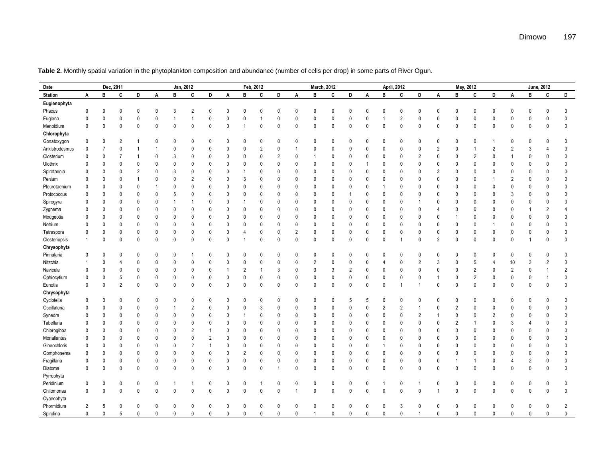| Date            | Dec, 2011      |              |                |                | Jan, 2012    |                |                |                |              | Feb, 2012<br><b>March, 2012</b> |                |                |                |                |              |                |              |                | <b>April, 2012</b> |                |                |                | May, 2012      |                |                |                | June, 2012     |                |
|-----------------|----------------|--------------|----------------|----------------|--------------|----------------|----------------|----------------|--------------|---------------------------------|----------------|----------------|----------------|----------------|--------------|----------------|--------------|----------------|--------------------|----------------|----------------|----------------|----------------|----------------|----------------|----------------|----------------|----------------|
| <b>Station</b>  | A              | B            | C              | D              | A            | в              | C              | D              | A            | B                               | C              | D              | A              | B              | C            | D              | A            | B              | C                  | D              | A              | B              | C              | D              | A              | B              | C              | D              |
| Euglenophyta    |                |              |                |                |              |                |                |                |              |                                 |                |                |                |                |              |                |              |                |                    |                |                |                |                |                |                |                |                |                |
| Phacus          | $\mathbf{0}$   | $\mathbf{0}$ | $\theta$       | 0              | $\mathbf{0}$ | 3              | $\overline{2}$ | $\mathbf 0$    | $\mathbf{0}$ | $\mathbf{0}$                    | $\mathbf{0}$   | $\mathbf{0}$   | $\mathbf{0}$   | $\mathbf{0}$   | $\mathbf{0}$ | $\mathbf 0$    | $\Omega$     | $\mathbf 0$    | $\mathbf 0$        | $\mathbf 0$    | $\mathbf{0}$   | 0              | $\mathbf{0}$   | $\Omega$       | $\mathbf{0}$   | $\mathbf 0$    | $\mathbf{0}$   | $\mathbf{0}$   |
| Euglena         | $\mathbf 0$    | 0            | $\mathbf{0}$   | $\mathbf{0}$   | $\mathbf{0}$ | $\overline{1}$ | 1              | $\mathbf 0$    | $\mathbf{0}$ | $\mathbf{0}$                    | $\overline{1}$ | 0              | $\mathbf{0}$   | $\mathbf 0$    | $\pmb{0}$    | 0              | $\mathbf{0}$ | $\mathbf{1}$   | $\overline{2}$     | $\mathbf{0}$   | $\mathbf{0}$   | 0              | $\mathbf{0}$   | $\Omega$       | 0              | $\mathbf 0$    | $\mathbf{0}$   | $\mathbf{0}$   |
| Menoidium       | $\mathbf 0$    | $\mathbf 0$  | $\mathbf{0}$   | 0              | $\mathbf 0$  | $\mathbf{0}$   | $\mathbf{0}$   | $\mathbf{0}$   | $\mathbf{0}$ |                                 | $\mathbf{0}$   | $\mathbf{0}$   | $\mathbf{0}$   | $\mathbf 0$    | $\mathbf 0$  | $\pmb{0}$      | $\Omega$     | $\theta$       | $\pmb{0}$          | $\mathbf{0}$   | $\mathbf 0$    | 0              | 0              | $\Omega$       | $\mathbf{0}$   | $\mathbf 0$    | $\mathbf{0}$   | $\mathbf{0}$   |
| Chlorophyta     |                |              |                |                |              |                |                |                |              |                                 |                |                |                |                |              |                |              |                |                    |                |                |                |                |                |                |                |                |                |
| Gonatoxygon     | $\mathbf 0$    | 0            | $\overline{2}$ | 1              | 0            | 0              | $\mathbf{0}$   | 0              | $\Omega$     | 0                               | 0              | $\Omega$       | $\Omega$       | $\Omega$       | 0            | 0              | $\Omega$     | 0              | $\mathbf{0}$       | $\Omega$       | 0              | 0              | $\mathbf{0}$   |                | 0              | $\Omega$       | 0              | 0              |
| Ankistrodesmus  | $\mathbf 0$    | 7            | $\mathbf{0}$   | 1              | 1            | 0              | 0              | 0              | $\mathbf{0}$ | 0                               | $\overline{2}$ | 0              |                | 0              | $\mathbf 0$  | 0              | $\theta$     | $\mathbf{0}$   | $\mathbf 0$        | $\mathbf 0$    | $\overline{2}$ | 0              | 1              | $\overline{2}$ | $\overline{c}$ | 3              | $\overline{4}$ | 3              |
| Closterium      | $\mathbf{0}$   | 0            | 7              | $\mathbf{1}$   | 0            | 3              | 0              | $\mathbf 0$    | 0            | 0                               | $\mathbf{0}$   | $\overline{2}$ | $\mathbf{0}$   | -1             | $\mathbf 0$  | 0              | $\theta$     | $\mathbf 0$    | $\mathbf 0$        | $\overline{2}$ | $\mathbf 0$    | 0              | $\overline{2}$ | $\mathbf{0}$   |                | $\mathbf{0}$   | 0              | $\mathbf 0$    |
| <b>Ulothrix</b> | $\mathbf{0}$   | $\mathbf{0}$ | $\mathbf 0$    | $\mathbf{0}$   | $\mathbf{0}$ | $\mathbf{0}$   | $\mathbf{0}$   | $\mathbf 0$    | $\mathbf{0}$ | 0                               | $\theta$       | $\mathbf{0}$   | $\mathbf{0}$   | $\Omega$       | $\mathbf{0}$ | 0              |              | $\mathbf 0$    | $\mathbf{0}$       | $\mathbf{0}$   | 0              | 0              | $\mathbf{0}$   | $\Omega$       | 0              | $\Omega$       | 0              | $\mathbf 0$    |
| Spirotaenia     | $\mathbf{0}$   | $\mathbf{0}$ | $\mathbf{0}$   | $\overline{2}$ | $\mathbf{0}$ | 3              | $\mathbf{0}$   | $\mathbf 0$    | $\mathbf{0}$ |                                 | $\mathbf{0}$   | $\theta$       | $\Omega$       | $\mathbf{0}$   | $\mathbf{0}$ | $\mathbf 0$    | $\Omega$     | $\theta$       | $\mathbf{0}$       | $\Omega$       | 3              | 0              | $\mathbf{0}$   | $\Omega$       | 0              | $\Omega$       | $\mathbf{0}$   | $\mathbf{0}$   |
| Penium          | $\mathbf 0$    | $\mathbf{0}$ | $\mathbf{0}$   | $\mathbf{1}$   | $\mathbf{0}$ | $\mathbf{0}$   | $\overline{2}$ | $\mathbf{0}$   | $\mathbf{0}$ | 3                               | $\mathbf{0}$   | $\Omega$       | $\mathbf{0}$   | $\mathbf{0}$   | $\mathbf{0}$ | $\mathbf 0$    | $\Omega$     | $\theta$       | $\mathbf{0}$       | $\Omega$       | $\theta$       | 0              | $\mathbf{0}$   |                | $\overline{2}$ | $\Omega$       | $\mathbf{0}$   | $\Omega$       |
| Pleurotaenium   | $\mathbf{0}$   | $\mathbf{0}$ | $\mathbf{0}$   | 0              | 1            | $\mathbf{0}$   | $\theta$       | $\mathbf 0$    | $\mathbf{0}$ | $\mathbf 0$                     | $\mathbf{0}$   | $\theta$       | $\mathbf{0}$   | $\mathbf{0}$   | $\mathbf 0$  | $\mathbf 0$    | $\mathbf{0}$ | $\overline{1}$ | $\mathbf 0$        | $\Omega$       | $\theta$       | 0              | $\mathbf{0}$   | $\Omega$       | $\mathbf{0}$   | $\mathbf{0}$   | $\mathbf{0}$   | $\Omega$       |
| Protococcus     | $\mathbf{0}$   | 0            | $\mathbf{0}$   | $\mathbf{0}$   | $\mathbf{0}$ | 5              | $\mathbf{0}$   | $\mathbf 0$    | $\mathbf{0}$ | 0                               | $\mathbf{0}$   | $\theta$       | $\mathbf{0}$   | $\mathbf{0}$   | $\mathbf{0}$ | $\overline{1}$ | $\Omega$     | $\mathbf{0}$   | $\mathbf{0}$       | $\Omega$       | $\theta$       | 0              | $\mathbf{0}$   | $\Omega$       | 3              | $\Omega$       | $\mathbf{0}$   | $\Omega$       |
| Spirogyra       | $\mathbf{0}$   | $\mathbf{0}$ | $\mathbf{0}$   | 0              | 0            | $\overline{1}$ | 1              | $\mathbf 0$    | $\mathbf{0}$ |                                 | $\mathbf{0}$   | $\mathbf{0}$   | $\mathbf{0}$   | $\Omega$       | $\mathbf{0}$ | 0              | $\Omega$     | $\mathbf{0}$   | $\mathbf{0}$       |                | $\mathbf{0}$   | 0              | 0              | $\Omega$       | 0              | $\Omega$       | 0              | $\Omega$       |
| Zygnema         | $\mathbf{0}$   | $\mathbf{0}$ | $\mathbf 0$    | 0              | 0            | $\mathbf{0}$   | 0              | $\mathbf 0$    | $\mathbf{0}$ | $\mathbf{0}$                    | $\mathbf{0}$   | $\mathbf{0}$   | $\mathbf{0}$   | $\mathbf{0}$   | $\mathbf{0}$ | $\mathbf 0$    | $\theta$     | $\pmb{0}$      | $\mathbf{0}$       | $\mathbf{0}$   |                | 0              | 0              | $\Omega$       | $\mathbf{0}$   |                | $\overline{2}$ | Δ              |
| Mougeotia       | $\mathbf 0$    | $\mathbf{0}$ | $\theta$       | 0              | 0            | $\mathbf{0}$   | 0              | $\mathbf 0$    | $\mathbf{0}$ | 0                               | $\theta$       | $\mathbf{0}$   | $\mathbf{0}$   | 0              | $\mathbf{0}$ | 0              | $\Omega$     | $\mathbf{0}$   | $\mathbf 0$        | $\mathbf{0}$   | $\mathbf 0$    | 1              | 0              | $\Omega$       | 0              | $\Omega$       | $\mathbf{0}$   | $\mathbf{0}$   |
| Netrium         | $\mathbf{0}$   | $\mathbf{0}$ | $\mathbf{0}$   | 0              | 0            | 0              | 0              | $\mathbf{0}$   | $\mathbf{0}$ | 0                               | 0              | $\mathbf{0}$   | $\mathbf{0}$   | 0              | $\mathbf{0}$ | 0              | $\Omega$     | $\mathbf{0}$   | 0                  | $\Omega$       | $\mathbf{0}$   | 0              | 0              |                | 0              | $\mathbf{0}$   | 0              | $\mathbf{0}$   |
| Tetraspora      | $\mathbf 0$    | 0            | $\mathbf 0$    | 0              | 0            | $\mathbf{0}$   | 0              | $\pmb{0}$      | 0            |                                 | 0              | $\mathbf{0}$   | $\overline{2}$ | 0              | $\mathbf 0$  | $\pmb{0}$      | 0            | $\pmb{0}$      | $\mathbf 0$        | $\mathbf 0$    | $\mathbf{0}$   | 0              | 0              | $\mathbf{0}$   | 0              | 0              | 0              | 0              |
| Closteriopsis   | $\mathbf{1}$   | 0            | $\mathbf{0}$   | 0              | 0            | 0              | $\mathbf{0}$   | $\mathbf 0$    | $\mathbf{0}$ |                                 | $\mathbf{0}$   | $\mathbf{0}$   | $\mathbf 0$    | $\mathbf{0}$   | $\mathbf{0}$ | 0              | $\mathbf{0}$ | $\mathbf 0$    | -1                 | $\mathbf{0}$   | $\overline{2}$ | 0              | $\mathbf{0}$   | $\mathbf 0$    | 0              |                | $\mathbf{0}$   | $\mathbf{0}$   |
| Chrysophyta     |                |              |                |                |              |                |                |                |              |                                 |                |                |                |                |              |                |              |                |                    |                |                |                |                |                |                |                |                |                |
| Pinnularia      | $\mathbf{3}$   | $\mathbf{0}$ | $\mathbf{0}$   | $\mathbf{0}$   | 0            | 0              |                | $\mathbf{0}$   | $\Omega$     | 0                               | $\mathbf{0}$   | $\mathbf{0}$   | $\mathbf{0}$   | $\Omega$       | $\mathbf 0$  | $\mathbf 0$    | $\Omega$     | $\mathbf{0}$   | $\mathbf{0}$       | $\Omega$       | $\mathbf{0}$   | 0              | 0              | $\Omega$       | $\mathbf{0}$   | $\Omega$       | 0              | $\mathbf{0}$   |
| Nitzchia        | $\overline{1}$ | $\mathbf{0}$ | 4              | $\mathbf{0}$   | $\mathbf{0}$ | $\mathbf{0}$   | $\theta$       | $\mathbf 0$    | $\mathbf{0}$ | $\mathbf 0$                     | $\mathbf{0}$   | $\theta$       | $\mathbf{0}$   | $\overline{2}$ | $\pmb{0}$    | $\pmb{0}$      | $\mathbf{0}$ | $\overline{4}$ | $\pmb{0}$          | $\overline{2}$ | 3              | 0              | 5              | 4              | 10             | 3              | $\overline{2}$ | 3              |
| Navicula        | $\mathbf{0}$   | 0            | $\theta$       | $\mathbf{0}$   | $\mathbf 0$  | $\mathbf{0}$   | $\theta$       | $\mathbf 0$    | $\mathbf{1}$ | $\overline{2}$                  | $\overline{1}$ | 3              | $\mathbf{0}$   | 3              | 3            | $\overline{2}$ | $\Omega$     | $\mathbf{0}$   | $\mathbf 0$        | $\Omega$       | $\theta$       | $\mathbf{0}$   | $\overline{2}$ | $\Omega$       | $\overline{2}$ | $\mathbf{0}$   | $\overline{1}$ | $\overline{2}$ |
| Ophiocytium     | $\mathbf 0$    | $\mathbf{0}$ | 5              | $\mathbf{0}$   | $\mathbf 0$  | $\mathbf{0}$   | 0              | $\mathbf 0$    | $\mathbf{0}$ | $\mathbf 0$                     | $\mathbf{0}$   | $\mathbf 0$    | $\mathbf{0}$   | $\mathbf 0$    | $\mathbf 0$  | $\mathbf 0$    | $\mathbf{0}$ | $\mathbf{0}$   | $\mathbf{0}$       | $\mathbf{0}$   |                | 0              | $\overline{2}$ | $\Omega$       | $\mathbf{0}$   | $\mathbf 0$    | $\overline{1}$ | $\mathbf{0}$   |
| Eunotia         | $\mathbf 0$    | $\mathbf{0}$ | $\overline{2}$ | $\mathbf{0}$   | $\mathbf{0}$ | $\mathbf{0}$   | $\mathbf{0}$   | $\mathbf{0}$   | $\mathbf{0}$ | 0                               | $\mathbf{0}$   | $\theta$       | $\mathbf{0}$   | $\theta$       | $\mathbf 0$  | $\pmb{0}$      | $\Omega$     | $\theta$       | $\overline{1}$     | $\overline{1}$ | $\mathbf{0}$   | 0              | $\mathbf{0}$   | $\mathbf{0}$   | $\mathbf{0}$   | $\mathbf 0$    | $\mathbf{0}$   | $\mathbf 0$    |
| Chrysophyta     |                |              |                |                |              |                |                |                |              |                                 |                |                |                |                |              |                |              |                |                    |                |                |                |                |                |                |                |                |                |
| Cyclotella      | $\mathbf 0$    | $\mathbf{0}$ | $\mathbf{0}$   | 0              | 0            | 0              | $\mathbf{0}$   | $\mathbf 0$    | $\mathbf{0}$ | 0                               | 0              | $\mathbf{0}$   | $\mathbf{0}$   | 0              | 0            | 5              | 5            | $\mathbf 0$    | $\mathbf 0$        | $\Omega$       | 0              | 0              | 0              | $\Omega$       | 0              | $\mathbf{0}$   | 0              | $\mathbf{0}$   |
| Oscillatoria    | $\mathbf{0}$   | 0            | 0              | 0              | 0            | $\overline{1}$ | $\overline{2}$ | $\mathbf 0$    | 0            | 0                               | 3              | 0              | $\mathbf{0}$   | 0              | $\pmb{0}$    | 0              | $\theta$     | $\overline{2}$ | $\overline{2}$     | $\overline{1}$ | $\mathbf{0}$   | $\overline{2}$ | 0              | $\mathbf{0}$   | 0              | $\Omega$       | 0              | $\mathbf{0}$   |
| Synedra         | $\mathbf{0}$   | 0            | $\mathbf{0}$   | 0              | 0            | $\mathbf{0}$   | 0              | $\mathbf 0$    | $\mathbf{0}$ |                                 | $\mathbf{0}$   | $\mathbf{0}$   | $\mathbf{0}$   | $\mathbf 0$    | $\mathbf 0$  | 0              | $\theta$     | $\pmb{0}$      | $\mathbf 0$        | $\overline{2}$ |                | $\mathbf 0$    | 0              | $\overline{2}$ | 0              | $\mathbf{0}$   | $\mathbf 0$    | $\mathbf{0}$   |
| Tabellaria      | $\mathbf{0}$   | $\mathbf{0}$ | $\mathbf{0}$   | 0              | 0            | 0              | 0              | $\mathbf 0$    | $\mathbf{0}$ | $\mathbf{0}$                    | 0              | $\mathbf{0}$   | $\mathbf{0}$   | 0              | $\mathbf{0}$ | 0              | $\Omega$     | $\mathbf{0}$   | $\mathbf{0}$       | $\Omega$       | 0              | $\overline{2}$ | 1              | $\Omega$       | 3              | 4              | 0              | $\mathbf{0}$   |
| Chlorogibba     | 0              | 0            | $\mathbf{0}$   | 0              | 0            | 0              | $\overline{2}$ | $\overline{1}$ | $\mathbf{0}$ | 0                               | 0              | $\mathbf{0}$   | $\mathbf{0}$   | 0              | $\mathbf 0$  | 0              | $\theta$     | $\mathbf{0}$   | 0                  | $\Omega$       | 0              | 0              | 0              | $\mathbf{0}$   | 0              | $\Omega$       | 0              | $\mathbf{0}$   |
| Monallantus     | $\mathbf{0}$   | 0            | $\mathbf{0}$   | $\mathbf{0}$   | $\mathbf{0}$ | $\mathbf{0}$   | $\mathbf{0}$   | $\overline{2}$ | $\Omega$     | 0                               | $\mathbf{0}$   | $\Omega$       | $\Omega$       | $\mathbf{0}$   | $\theta$     | $\mathbf 0$    | $\Omega$     | $\theta$       | $\mathbf{0}$       | $\Omega$       | $\mathbf{0}$   | 0              | $\mathbf{0}$   | $\Omega$       | $\mathbf{0}$   | $\Omega$       | $\Omega$       | $\Omega$       |
| Gloeochloris    | $\mathbf 0$    | $\mathbf{0}$ | $\mathbf{0}$   | $\mathbf{0}$   | $\mathbf{0}$ | $\mathbf{0}$   | $\overline{2}$ | $\mathbf{1}$   | $\Omega$     | 0                               | $\mathbf{0}$   | $\Omega$       | $\Omega$       | $\mathbf{0}$   | $\mathbf{0}$ | $\mathbf 0$    | $\Omega$     | $\overline{1}$ | $\mathbf{0}$       | $\Omega$       | $\mathbf{0}$   | 0              | $\mathbf{0}$   | $\Omega$       | $\mathbf{0}$   | $\Omega$       | $\Omega$       | $\Omega$       |
| Gomphonema      | $\mathbf{0}$   | $\mathbf{0}$ | $\mathbf{0}$   | $\mathbf{0}$   | $\mathbf{0}$ | $\mathbf{0}$   | $\theta$       | $\mathbf{0}$   | $\mathbf{0}$ | $\overline{2}$                  | $\mathbf{0}$   | $\mathbf{0}$   | $\mathbf{0}$   | $\mathbf{0}$   | $\mathbf 0$  | $\mathbf 0$    | $\mathbf{0}$ | $\mathbf{0}$   | $\mathbf{0}$       | $\Omega$       | $\mathbf{0}$   | 0              | $\mathbf{0}$   | $\Omega$       | $\mathbf{0}$   | $\mathbf{0}$   | 0              | $\mathbf{0}$   |
| Fragillaria     | $\pmb{0}$      | $\mathbf 0$  | $\mathbf{0}$   | $\mathbf{0}$   | 0            | $\mathbf{0}$   | 0              | $\mathbf{0}$   | $\mathbf{0}$ | 0                               | $\mathbf 0$    | $\mathbf 0$    | $\mathbf{0}$   | $\mathbf 0$    | $\pmb{0}$    | $\pmb{0}$      | $\mathbf{0}$ | $\pmb{0}$      | $\pmb{0}$          | $\mathbf{0}$   | $\mathbf{0}$   | 1              | 1              | $\mathbf{0}$   | 4              | $\overline{2}$ | $\mathbf 0$    | $\mathbf{0}$   |
| Diatoma         | $\mathbf 0$    | $\mathbf{0}$ | $\Omega$       | $\mathbf{0}$   | $\mathbf{0}$ | $\mathbf{0}$   | $\theta$       | $\theta$       | $\mathbf{0}$ | $\mathbf 0$                     | $\mathbf{0}$   |                | $\Omega$       | $\mathbf{0}$   | $\mathbf 0$  | $\pmb{0}$      | $\Omega$     | $\theta$       | $\mathbf{0}$       | $\mathbf{0}$   | $\mathbf{0}$   | $\mathbf 0$    | $\mathbf{0}$   | $\Omega$       | $\mathbf{0}$   | $\Omega$       | $\mathbf{0}$   | $\mathbf{0}$   |
| Pyrrophyta      |                |              |                |                |              |                |                |                |              |                                 |                |                |                |                |              |                |              |                |                    |                |                |                |                |                |                |                |                |                |
| Peridinium      | $\mathbf 0$    | 0            | $\mathbf{0}$   | 0              | 0            | $\overline{1}$ | 1              | $\mathbf{0}$   | $\mathbf{0}$ | 0                               | -1             | 0              | $\mathbf{0}$   | 0              | $\mathbf 0$  | 0              | $\mathbf{0}$ | 1              | 0                  |                | 0              | 0              | 0              | $\Omega$       | 0              | 0              | 0              | 0              |
| Chilomonas      | $\mathbf 0$    | $\mathbf{0}$ | $\mathbf{0}$   | $\mathbf{0}$   | $\mathbf{0}$ | $\mathbf{0}$   | $\mathbf{0}$   | $\mathbf{0}$   | $\mathbf{0}$ | $\mathbf 0$                     | $\mathbf{0}$   | $\theta$       | -1             | $\mathbf{0}$   | $\mathbf 0$  | $\pmb{0}$      | $\Omega$     | $\mathbf{0}$   | $\mathbf{0}$       | $\mathbf{0}$   |                | 0              | $\mathbf{0}$   | $\Omega$       | $\mathbf{0}$   | $\mathbf{0}$   | $\mathbf{0}$   | $\mathbf 0$    |
| Cyanophyta      |                |              |                |                |              |                |                |                |              |                                 |                |                |                |                |              |                |              |                |                    |                |                |                |                |                |                |                |                |                |
| Phormidium      | $\overline{2}$ | 5            | $\mathbf{0}$   | 0              | 0            | 0              | 0              | $\mathbf{0}$   | 0            | 0                               | 0              | 0              | $\mathbf{0}$   | 0              | $\mathbf 0$  | 0              | $\theta$     | $\mathbf{0}$   | 3                  | $\Omega$       | 0              | 0              | 0              | $\Omega$       | 0              | $\Omega$       | 0              | $\overline{2}$ |
| Spirulina       | $\pmb{0}$      | $\mathbf{0}$ | 5              | 0              | 0            | 0              | 0              | $\mathbb O$    | 0            | $\pmb{0}$                       | 0              | 0              | $\pmb{0}$      | $\overline{1}$ | $\pmb{0}$    | $\mathbf 0$    | 0            | $\pmb{0}$      | $\mathbf 0$        | $\overline{1}$ | $\mathbf{0}$   | 0              | 0              | $\mathbf 0$    | $\pmb{0}$      | $\pmb{0}$      | 0              | $\pmb{0}$      |
|                 |                |              |                |                |              |                |                |                |              |                                 |                |                |                |                |              |                |              |                |                    |                |                |                |                |                |                |                |                |                |

**Table 2.** Monthly spatial variation in the phytoplankton composition and abundance (number of cells per drop) in some parts of River Ogun.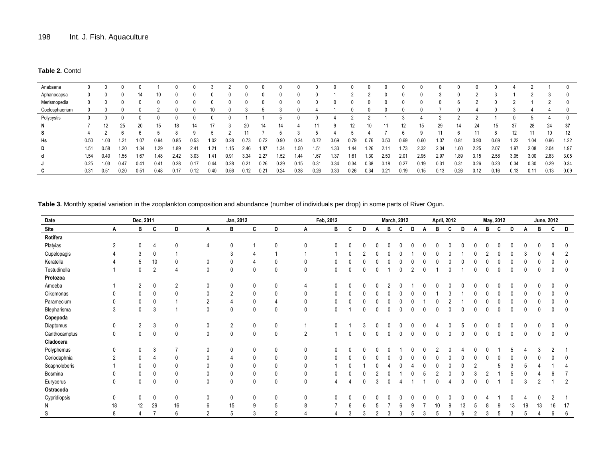#### **Table 2.** Contd

| Anabaena       |      |      |      |      |      |      |      |               |      |      |      |      |              |              |      |      |      |               |      |      |          |      |      |      |                   |      |      |      |
|----------------|------|------|------|------|------|------|------|---------------|------|------|------|------|--------------|--------------|------|------|------|---------------|------|------|----------|------|------|------|-------------------|------|------|------|
| Aphanocapsa    | 0    |      |      | 14   | 10   |      |      |               |      |      |      |      |              | $\theta$     |      |      |      |               |      |      |          |      |      |      |                   | C    |      |      |
| Merismopedia   | 0    |      |      |      |      |      |      |               |      |      |      | 0    | $\mathbf{0}$ | $\mathbf{0}$ | 0    |      | 0    |               |      |      | $\Omega$ | h    |      |      |                   |      |      |      |
| Coelosphaerium |      |      |      |      |      |      |      | 10            |      |      |      |      |              |              |      |      |      |               |      |      |          |      |      |      |                   |      |      |      |
| Polycystis     |      |      |      |      |      |      |      |               |      |      |      |      |              |              |      |      |      |               |      |      |          |      |      |      |                   |      |      |      |
| N              |      | 12   |      | 20   | 15   | 18   |      | 17            |      | 20   | 14   | 14   |              | 11           | 9    | 12   |      |               | 12   | 15   | 29       | 14   | 24   | 15   | 37                | 28   | 24   | 37   |
| s              |      |      |      |      |      |      |      |               |      | 11   |      |      |              |              |      |      |      |               |      | Q    | 11       |      |      | 8    | $12 \overline{ }$ | 11   | 10   | 12   |
| Hs             | 0.50 | 1.03 | 1.21 | 1.07 | 0.94 | 0.85 | 0.53 | 1.02          | 0.28 | 0.73 | 0.72 | 0.90 | 0.24         | 0.72         | 0.69 | 0.79 | 0.76 | 0.50          | 0.69 | 0.60 | 1.07     | 0.81 | 0.90 | 0.69 | 1.22              | 1.04 | 0.96 | 1.22 |
| D              | 1.51 | 0.58 | 1.20 | 1.34 | 1.29 | 1.89 | 2.41 | 1.21          | .15  | 2.46 | 1.87 | 1.34 | 1.50         | 1.51         | 1.33 | 1.44 | 1.26 | $2.1^{\circ}$ | 1.73 | 2.32 | 2.04     | 1.60 | 2.25 | 2.07 | 1.97              | 2.08 | 2.04 | 1.97 |
| d              | 1.54 | 0.40 | 1.55 | 1.67 | 1.48 | 2.42 | 3.03 | $1.4^{\circ}$ | 0.91 | 3.34 | 2.27 | 1.52 | 1.44         | 1.67         | 1.37 | 1.61 | 1.30 | 2.50          | 2.01 | 2.95 | 2.97     | 1.89 | 3.15 | 2.58 | 3.05              | 3.00 | 2.83 | 3.05 |
|                | 0.25 | 1.03 | 0.47 | 0.41 | 0.41 | 0.28 | 0.17 | 0.44          | 0.28 | 0.21 | 0.26 | 0.39 | 0.15         | 0.31         | 0.34 | 0.34 | 0.38 | 0.18          | 0.27 | 0.19 | 0.31     | 0.31 | 0.26 | 0.23 | 0.34              | 0.30 | 0.29 | 0.34 |
|                | 0.31 | 0.51 | 0.20 | 0.51 | 0.48 |      |      | 0.40          | 0.56 | 0.12 | 0.21 | 0.24 | 0.38         | 0.26         | 0.33 | 0.26 | 0.34 | 0.21          | 0.19 | 0.15 | 0.13     | 0.26 | 0.12 | 0.16 | 0.13              | 0.11 | 0.13 | 0.09 |

**Table 3.** Monthly spatial variation in the zooplankton composition and abundance (number of individuals per drop) in some parts of River Ogun.

| Date          |             | Dec, 2011      |                |              | Jan, 2012    |                |              |              |                | Feb, 2012             |              |   |          |   | <b>March, 2012</b> |   |   |    | <b>April, 2012</b> |              |                |   | May, 2012 |          |          |                | <b>June, 2012</b> |                |
|---------------|-------------|----------------|----------------|--------------|--------------|----------------|--------------|--------------|----------------|-----------------------|--------------|---|----------|---|--------------------|---|---|----|--------------------|--------------|----------------|---|-----------|----------|----------|----------------|-------------------|----------------|
| Site          | Α           | B              | C              | D            | Α            | в              | C            | D            | Α              | B                     | C            | D | Α        | В | C                  | D | A | в  | C                  | D            | Α              | В | C         | D        | Α        | в              | C                 | D              |
| Rotifera      |             |                |                |              |              |                |              |              |                |                       |              |   |          |   |                    |   |   |    |                    |              |                |   |           |          |          |                |                   |                |
| Platyias      | 2           | $\mathbf{0}$   |                | $\mathbf{0}$ |              |                |              | $\Omega$     | $\mathbf{0}$   | $\mathbf{0}$          | $\Omega$     |   |          |   |                    |   |   |    |                    |              |                |   |           |          | $\Omega$ |                |                   |                |
| Cupelopagis   |             | 3              | $\mathbf 0$    |              |              | 3              |              |              |                |                       | $\Omega$     |   |          |   |                    |   |   |    |                    |              |                |   |           |          |          |                |                   |                |
| Keratella     |             | 5              | 10             | $\mathbf{0}$ | $\mathbf{0}$ |                |              | $\mathbf{0}$ | 0              | $\mathbf{0}$          | $\Omega$     |   |          |   |                    |   |   |    |                    |              |                |   |           |          |          |                |                   |                |
| Testudinella  |             | 0              | $\overline{2}$ | 4            | $\mathbf{0}$ |                | $\mathbf{0}$ | $\mathbf 0$  | 0              | 0                     | $\mathbf{0}$ | 0 | $\Omega$ |   |                    |   | 0 |    |                    |              | ∩              |   |           |          | $\Omega$ |                |                   | 0              |
| Protozoa      |             |                |                |              |              |                |              |              |                |                       |              |   |          |   |                    |   |   |    |                    |              |                |   |           |          |          |                |                   |                |
| Amoeba        |             | $\overline{2}$ | $\mathbf 0$    | 2            | 0            |                | 0            | $\mathbf 0$  | 4              | 0                     | $\Omega$     |   |          |   |                    |   |   |    |                    |              |                |   |           |          |          |                |                   |                |
| Oikomonas     |             | $\mathbf 0$    | $\mathbf{0}$   | $\mathbf{0}$ | $\mathbf{0}$ | $\overline{2}$ | $\mathbf{0}$ | 0            | 0              | 0                     | 0            |   |          |   |                    |   |   |    |                    |              | $\Omega$       |   |           |          | $\Omega$ |                |                   |                |
| Paramecium    | 0           | 0              | $\mathbf{0}$   |              | 2            |                | 0            |              | 0              | 0                     | 0            |   |          |   |                    |   |   |    |                    |              |                |   |           |          |          |                |                   |                |
| Blepharisma   | 3           | $\mathbf 0$    | -3             |              | $\mathbf{0}$ |                | $\mathbf{0}$ | $\mathbf{0}$ | $\mathbf 0$    | 0                     |              | 0 | $\Omega$ |   |                    |   | 0 |    |                    | <sup>0</sup> | 0              |   |           | 0        | 0        |                |                   | 0              |
| Copepoda      |             |                |                |              |              |                |              |              |                |                       |              |   |          |   |                    |   |   |    |                    |              |                |   |           |          |          |                |                   |                |
| Diaptomus     | 0           | $\overline{2}$ | 3              | 0            | 0            | $\overline{2}$ | 0            | 0            |                | $\Omega$              |              |   |          |   |                    |   |   |    |                    |              |                |   |           |          |          |                |                   |                |
| Canthocamptus | 0           | $\Omega$       | $\mathbf 0$    | $\mathbf{0}$ | $\mathbf{0}$ |                | $\mathbf{0}$ | $\mathbf 0$  | $\overline{2}$ |                       | $\Omega$     |   |          |   |                    |   |   |    |                    |              |                |   |           |          | $\cap$   |                |                   | 0              |
| Cladocera     |             |                |                |              |              |                |              |              |                |                       |              |   |          |   |                    |   |   |    |                    |              |                |   |           |          |          |                |                   |                |
| Polyphemus    | $\mathbf 0$ | $\mathbf 0$    | 3              |              | $\mathbf{0}$ |                | $\mathbf 0$  | $\mathbf 0$  | $\mathbf 0$    | $\mathbf{0}$          |              |   |          |   |                    |   |   |    |                    |              |                |   |           |          |          |                |                   |                |
| Ceriodaphnia  | 2           | $\mathbf{0}$   |                | $\Omega$     | $\Omega$     |                | $\mathbf{0}$ | $\mathbf{0}$ | 0              | $\mathbf{0}$          |              |   |          |   |                    |   |   |    |                    |              |                |   |           |          | $\Omega$ |                |                   |                |
| Scapholeberis |             | $\mathbf{0}$   | $\mathbf{0}$   | $\mathbf{0}$ | $\mathbf{0}$ |                | 0            | $\mathbf{0}$ | $\mathbf{0}$   |                       | $\Omega$     |   |          |   |                    |   |   |    |                    |              | $\overline{2}$ |   |           |          | .5       |                |                   |                |
| Bosmina       | $\Omega$    | $\mathbf{0}$   | 0              | $\Omega$     | 0            |                | 0            | $\mathbf{0}$ | 0              | $\Omega$              |              |   |          |   |                    |   |   |    |                    |              |                |   |           |          |          |                |                   |                |
| Eurycerus     | 0           | $\mathbf 0$    | $\mathbf 0$    | $\mathbf{0}$ | $\mathbf{0}$ |                | $\mathbf{0}$ | $\mathbf{0}$ | 0              | $\boldsymbol{\Delta}$ |              | U |          |   |                    |   |   |    |                    |              | $\Omega$       |   |           | $\Omega$ | 3        | $\overline{2}$ |                   | $\overline{2}$ |
| Ostracoda     |             |                |                |              |              |                |              |              |                |                       |              |   |          |   |                    |   |   |    |                    |              |                |   |           |          |          |                |                   |                |
| Cypridiopsis  | 0           | 0              | $\mathbf 0$    | 0            | $\mathbf{0}$ |                | $\mathbf{0}$ | 0            | 0              | $\mathbf{0}$          | $\Omega$     |   |          |   |                    |   |   |    |                    |              |                |   |           |          |          |                |                   |                |
| N             | 18          | 12             | 29             | 16           | 6            | 15             | 9            | 5            | 8              |                       | 6            |   |          |   |                    |   |   | 10 | g                  |              |                |   |           | 13       | 19       | 13             | 16                | 17             |
| S             | 8           |                |                | 6            |              |                | 3            | 2            |                |                       | 3            | 3 |          | 3 | 3                  | 5 | 3 | 5  | 3                  | 6            | $\overline{2}$ | 3 | b         | 3        | 5        |                | 6                 | 6              |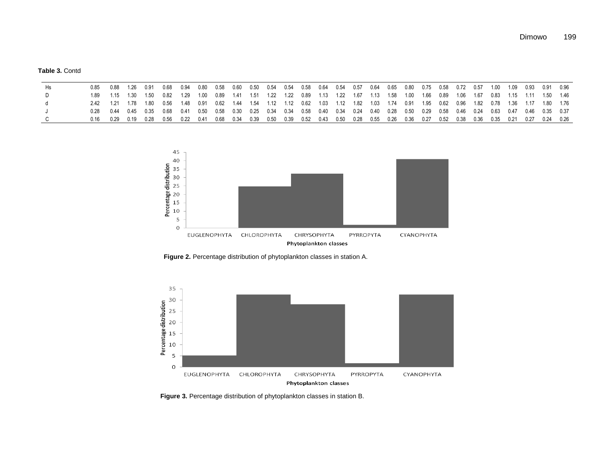**Table 3.** Contd

| Hs. | 0.85  0.88  1.26  0.91                                                                                                                                                                              |  | 0.68 0.94 0.80 0.58 0.60 0.50 0.54 0.54 0.58 0.64 0.54 0.57 0.64 0.65 0.80 0.75 0.58 0.72 0.57 1.00 1.09 0.93 0.91 0.96 |  |  |  |  |  |  |  |  |  |  |  |  |
|-----|-----------------------------------------------------------------------------------------------------------------------------------------------------------------------------------------------------|--|-------------------------------------------------------------------------------------------------------------------------|--|--|--|--|--|--|--|--|--|--|--|--|
|     | 1.89 1.15 1.30 1.50 0.82 1.29 1.00 0.89 1.41 1.51 1.22 1.22 0.89 1.13 1.22 1.67 1.13 1.58 1.00 1.66 0.89 1.06 1.67 0.83 1.15 1.11 1.50 1.46                                                         |  |                                                                                                                         |  |  |  |  |  |  |  |  |  |  |  |  |
|     | 2.42 1.21 1.78 1.80 0.56 1.48 0.91 0.62 1.44 1.54 1.12 1.12 0.62 1.03 1.12 1.82 1.03 1.74 0.91 1.95 0.62 0.96 1.82 0.78 1.36 1.17 1.80 1.76                                                         |  |                                                                                                                         |  |  |  |  |  |  |  |  |  |  |  |  |
|     | $0.28$ $0.44$ $0.45$ $0.35$ $0.68$ $0.41$ $0.50$ $0.58$ $0.30$ $0.25$ $0.34$ $0.34$ $0.58$ $0.40$ $0.34$ $0.24$ $0.40$ $0.26$ $0.50$ $0.29$ $0.58$ $0.46$ $0.24$ $0.63$ $0.47$ $0.46$ $0.35$ $0.37$ |  |                                                                                                                         |  |  |  |  |  |  |  |  |  |  |  |  |
|     | 0.16 0.29 0.19 0.28 0.56 0.22 0.41 0.68 0.34 0.39 0.50 0.39 0.52 0.43 0.50 0.28 0.55 0.26 0.36 0.27 0.52 0.38 0.36 0.35 0.21 0.27 0.24 0.26                                                         |  |                                                                                                                         |  |  |  |  |  |  |  |  |  |  |  |  |



**Figure 2.** Percentage distribution of phytoplankton classes in station A.



**Figure 3.** Percentage distribution of phytoplankton classes in station B.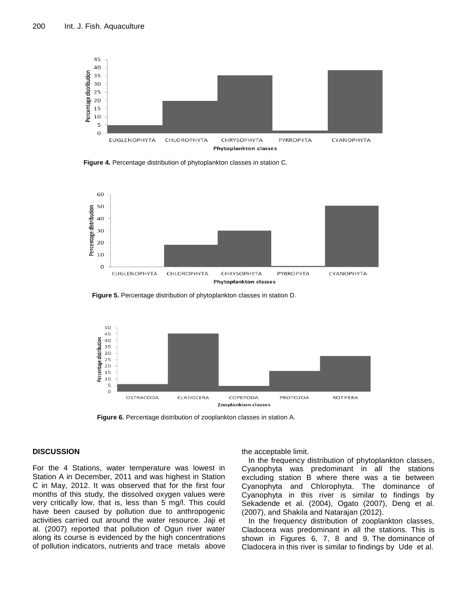

**Figure 4.** Percentage distribution of phytoplankton classes in station C.



**Figure 5.** Percentage distribution of phytoplankton classes in station D.



**Figure 6.** Percentage distribution of zooplankton classes in station A.

#### **DISCUSSION**

For the 4 Stations, water temperature was lowest in Station A in December, 2011 and was highest in Station C in May, 2012. It was observed that for the first four months of this study, the dissolved oxygen values were very critically low, that is, less than 5 mg/l. This could have been caused by pollution due to anthropogenic activities carried out around the water resource. Jaji et al. (2007) reported that pollution of Ogun river water along its course is evidenced by the high concentrations of pollution indicators, nutrients and trace metals above

#### the acceptable limit.

In the frequency distribution of phytoplankton classes, Cyanophyta was predominant in all the stations excluding station B where there was a tie between Cyanophyta and Chlorophyta. The dominance of Cyanophyta in this river is similar to findings by Sekadende et al. (2004), Ogato (2007), Deng et al. (2007), and Shakila and Natarajan (2012).

In the frequency distribution of zooplankton classes, Cladocera was predominant in all the stations. This is shown in Figures 6, 7, 8 and 9. The dominance of Cladocera in this river is similar to findings by Ude et al.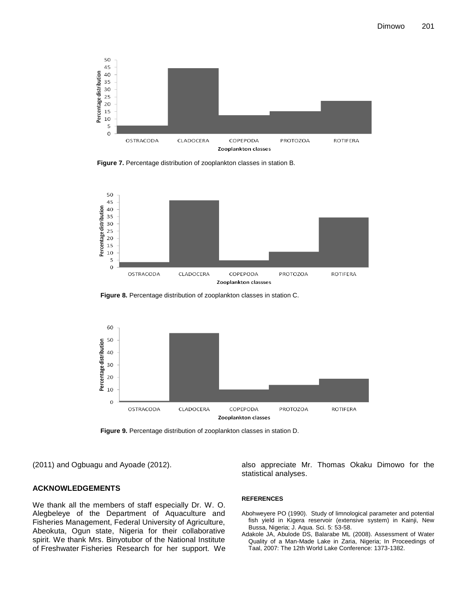

**Figure 7.** Percentage distribution of zooplankton classes in station B.



**Figure 8.** Percentage distribution of zooplankton classes in station C.



**Figure 9.** Percentage distribution of zooplankton classes in station D.

(2011) and Ogbuagu and Ayoade (2012).

#### **ACKNOWLEDGEMENTS**

We thank all the members of staff especially Dr. W. O. Alegbeleye of the Department of Aquaculture and Fisheries Management, Federal University of Agriculture, Abeokuta, Ogun state, Nigeria for their collaborative spirit. We thank Mrs. Binyotubor of the National Institute of Freshwater Fisheries Research for her support. We also appreciate Mr. Thomas Okaku Dimowo for the statistical analyses.

#### **REFERENCES**

- Abohweyere PO (1990). Study of limnological parameter and potential fish yield in Kigera reservoir (extensive system) in Kainji, New Bussa, Nigeria; J. Aqua. Sci. 5: 53-58.
- Adakole JA, Abulode DS, Balarabe ML (2008). Assessment of Water Quality of a Man-Made Lake in Zaria, Nigeria; In Proceedings of Taal, 2007: The 12th World Lake Conference: 1373-1382.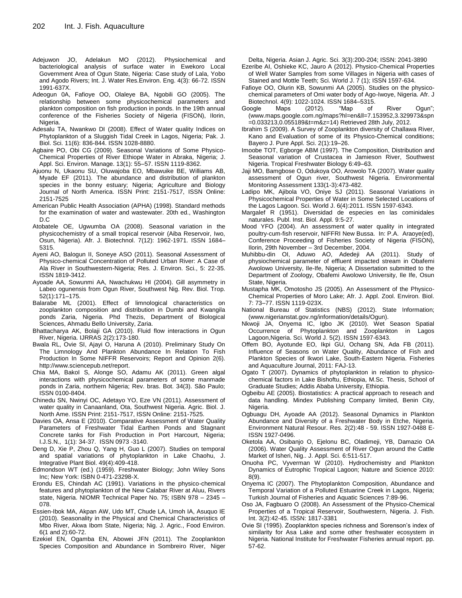- Adejuwon JO, Adelakun MO (2012). Physiochemical and bacteriological analysis of surface water in Ewekoro Local Government Area of Ogun State, Nigeria: Case study of Lala, Yobo and Agodo Rivers; Int. J. Water Res.Environ. Eng. 4(3): 66-72. ISSN 1991-637X.
- Adeogun 0A, Fafioye OO, Olaleye BA, Ngobili GO (2005). The relationship between some physicochemical parameters and plankton composition on fish production in ponds. In the 19th annual conference of the Fisheries Society of Nigeria (FISON), Ilorin, Nigeria.
- Adesalu TA, Nwankwo DI (2008). Effect of Water quality Indices on Phytoplankton of a Sluggish Tidal Creek in Lagos, Nigeria; Pak. J. Biol. Sci. 11(6): 836-844. ISSN 1028-8880.
- Agbaire PO, Obi CG (2009). Seasonal Variations of Some Physico-Chemical Properties of River Ethiope Water in Abraka, Nigeria; J. Appl. Sci. Environ. Manage. 13(1): 55–57. ISSN 1119-8362.
- Ajuonu N, Ukaonu SU, Oluwajoba EO, Mbawuike BE, Williams AB, Myade EF (2011). The abundance and distribution of plankton species in the bonny estuary; Nigeria; Agriculture and Biology Journal of North America. ISSN Print: 2151-7517, ISSN Online: 2151-7525
- American Public Health Association (APHA) (1998). Standard methods for the examination of water and wastewater. 20th ed., Washington D.C
- Atobatele OE, Ugwumba OA (2008). Seasonal variation in the physicochemistry of a small tropical reservoir (Aiba Reservoir, Iwo, Osun, Nigeria). Afr. J. Biotechnol. 7(12): 1962-1971. ISSN 1684– 5315.
- Ayeni AO, Balogun II, Soneye ASO (2011). Seasonal Assessment of Physico-chemical Concentration of Polluted Urban River: A Case of Ala River in Southwestern-Nigeria; Res. J. Environ. Sci., 5: 22-35. ISSN 1819-3412.
- Ayoade AA, Sowunmi AA, Nwachukwu HI (2004). Gill asymmetry in Labeo ogunensis from Ogun River, Southwest Nig. Rev. Biol. Trop. 52(1):171–175.
- Balarabe ML (2001). Effect of limnological characteristics on zooplankton composition and distribution in Dumbi and Kwangila ponds Zaria, Nigeria. Phd Thezis, Department of Biological Sciences, Ahmadu Bello University, Zaria.
- Bhattacharya AK, Bolaji GA (2010). Fluid flow interactions in Ogun River, Nigeria. IJRRAS 2(2):173-180.
- Bwala RL, Ovie SI, Ajayi O, Haruna A (2010). Preliminary Study On The Limnology And Plankton Abundance In Relation To Fish Production In Some NIFFR Reservoirs; Report and Opinion 2(6). http://www.sciencepub.net/report.
- Chia MA, BakoI S, Alonge SO, Adamu AK (2011). Green algal interactions with physicochemical parameters of some manmade ponds in Zaria, northern Nigeria; Rev. bras. Bot. 34(3). São Paulo; ISSN 0100-8404.
- Chinedu SN, Nwinyi OC, Adetayo YO, Eze VN (2011). Assessment of water quality in Canaanland, Ota, Southwest Nigeria. Agric. Biol. J. North Ame. ISSN Print: 2151-7517, ISSN Online: 2151-7525.
- Davies OA, Ansa E (2010). Comparative Assessment of Water Quality Parameters of Freshwater Tidal Earthen Ponds and Stagnant Concrete tanks for Fish Production in Port Harcourt, Nigeria; I.J.S.N., 1(1): 34-37. ISSN 0973 -3140.
- Deng D, Xie P, Zhou Q, Yang H, Guo L (2007). Studies on temporal and spatial variations of phytoplankton in Lake Chaohu, J. Integrative Plant Biol. 49(4):409-418.
- Edmondson WT (ed.) (1959). Freshwater Biology; John Wiley Sons Inc; New York: ISBN 0-471-23298-X.
- Erondu ES, Chindah AC (1991). Variations in the physico-chemical features and phytoplankton of the New Calabar River at Aluu, Rivers state, Nigeria. NIOMR Technical Paper No. 75; ISBN 978 – 2345 – 078.
- Essien-Ibok MA, Akpan AW, Udo MT, Chude LA, Umoh IA, Asuquo IE (2010). Seasonality in the Physical and Chemical Characteristics of Mbo River, Akwa Ibom State, Nigeria; Nig. J. Agric., Food Environ. 6(1 and 2):60-72.
- Ezekiel EN, Ogamba EN, Abowei JFN (2011). The Zooplankton Species Composition and Abundance in Sombreiro River, Niger

Delta, Nigeria. Asian J. Agric. Sci. 3(3):200-204; ISSN: 2041-3890

- Ezeribe AI, Oshieke KC, Jauro A (2012). Physico-Chemical Properties of Well Water Samples from some Villages in Nigeria with cases of Stained and Mottle Teeth; Sci. World J. 7 (1); ISSN 1597-634.
- Fafioye OO, Olurin KB, Sowunmi AA (2005). Studies on the physicochemical parameters of Omi water body of Ago-Iwoye, Nigeria. Afr. J Biotechnol. 4(9): 1022-1024. ISSN 1684–5315.
- Google Maps (2012). "Map of River Ogun"; (www.maps.google.com.ng/maps?hl=en&ll=7.153952,3.329973&spn =0.033213,0.055189&t=m&z=14) Retrieved 28th July, 2012.
- Ibrahim S (2009). A Survey of Zooplankton diversity of Challawa River, Kano and Evaluation of some of its Physico-Chemical conditions; Bayero J. Pure Appl. Sci. 2(1):19–26.
- Imoobe TOT, Egborge ABM (1997). The Composition, Distribution and Seasonal variation of Crustacea in Jamieson River, Southwest Nigeria. Tropical Freshwater Biology 6:49–63.
- Jaji MO, Bamgbose O, Odukoya OO, Arowolo TA (2007). Water quality assessment of Ogun river, Southwest Nigeria. Environmental Monitoring Assessment 133(1-3):473-482.
- Ladipo MK, Ajibola VO, Oniye SJ (2011). Seasonal Variations in Physicochemical Properties of Water in Some Selected Locations of the Lagos Lagoon. Sci. World J. 6(4):2011. ISSN 1597-6343.
- Margalef R (1951). Diversidad de especies en las cominidales naturales. Publ. Inst. Biol. Appl. 9:5-27.
- Mood YFO (2004). An assessment of water quality in integrated poultry-cum-fish reservoir, NIFFRI New Bussa. In: P.A. Araoye(ed), Conference Proceeding of Fisheries Society of Nigeria (FISON), Ilorin, 29th November – 3rd December, 2004.
- Muhibbu-din OI, Aduwo AO, Adedeji AA (2011). Study of physiochemical parameter of effluent impacted stream in Obafemi Awolowo University, Ile-Ife, Nigeria; A Dissertation submitted to the Department of Zoology, Obafemi Awolowo University, Ile Ife, Osun State, Nigeria.
- Mustapha MK, Omotosho JS (2005). An Assessment of the Physico-Chemical Properties of Moro Lake; Afr. J. Appl. Zool. Environ. Biol. 7: 73–77. ISSN 1119-023X.
- National Bureau of Statistics (NBS) (2012). State Information; (www.nigerianstat.gov.ng/information/details/Ogun).
- Nkwoji JA, Onyema IC, Igbo JK (2010). Wet Season Spatial Occurrence of Phytoplankton and Zooplankton in Lagos Lagoon,Nigeria. Sci. World J. 5(2). ISSN 1597-6343.
- Offem BO, Ayotunde EO, Ikpi GU, Ochang SN, Ada FB (2011). Influence of Seasons on Water Quality, Abundance of Fish and Plankton Species of Ikwori Lake, South-Eastern Nigeria. Fisheries and Aquaculture Journal, 2011: FAJ-13.
- Ogato T (2007). Dynamics of phytoplankton in relation to physicochemical factors in Lake Bishoftu, Ethiopia, M.Sc. Thesis, School of Graduate Studies; Addis Ababa University, Ethiopia.
- Ogbeibu AE (2005). Biostatistics: A practical approach to reseach and data handling. Mindex Publishing Company limited, Benin City, Nigeria.
- Ogbuagu DH, Ayoade AA (2012). Seasonal Dynamics in Plankton Abundance and Diversity of a Freshwater Body in Etche, Nigeria. Environment Natural Resour. Res. 2(2):48 - 59. ISSN 1927-0488 E-ISSN 1927-0496.
- Oketola AA, Osibanjo O, Ejelonu BC, Oladimeji, YB, Damazio OA (2006). Water Quality Assessment of River Ogun around the Cattle Market of Isheri, Nig.. J. Appl. Sci. 6:511-517.
- Onuoha PC, Vyverman W (2010). Hydrochemistry and Plankton Dynamics of Eutrophic Tropical Lagoon; Nature and Science 2010: 8(9).
- Onyema IC (2007). The Phytoplankton Composition, Abundance and Temporal Variation of a Polluted Estuarine Creek in Lagos, Nigeria; Turkish Journal of Fisheries and Aquatic Sciences 7:89-96.
- Oso JA, Fagbuaro O (2008). An Assessment of the Physico-Chemical Properties of a Tropical Reservoir, Southwestern, Nigeria. J. Fish. Int. 3(2):42-45. ISSN: 1817-3381
- Ovie SI (1995). Zooplankton species richness and Sorenson's index of similarity for Asa Lake and some other freshwater ecosystem in Nigeria. National Institute for Freshwater Fisheries annual report. pp. 57-62.